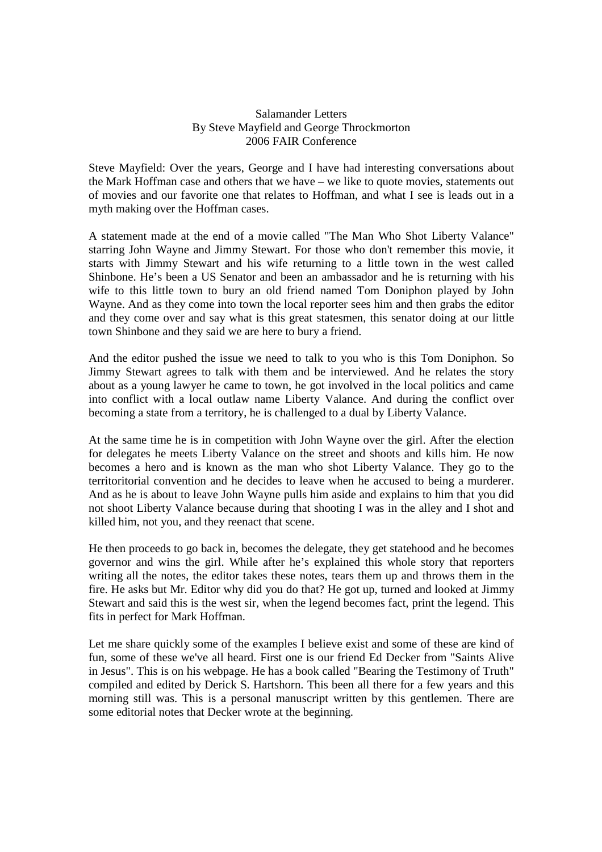## Salamander Letters By Steve Mayfield and George Throckmorton 2006 FAIR Conference

Steve Mayfield: Over the years, George and I have had interesting conversations about the Mark Hoffman case and others that we have – we like to quote movies, statements out of movies and our favorite one that relates to Hoffman, and what I see is leads out in a myth making over the Hoffman cases.

A statement made at the end of a movie called "The Man Who Shot Liberty Valance" starring John Wayne and Jimmy Stewart. For those who don't remember this movie, it starts with Jimmy Stewart and his wife returning to a little town in the west called Shinbone. He's been a US Senator and been an ambassador and he is returning with his wife to this little town to bury an old friend named Tom Doniphon played by John Wayne. And as they come into town the local reporter sees him and then grabs the editor and they come over and say what is this great statesmen, this senator doing at our little town Shinbone and they said we are here to bury a friend.

And the editor pushed the issue we need to talk to you who is this Tom Doniphon. So Jimmy Stewart agrees to talk with them and be interviewed. And he relates the story about as a young lawyer he came to town, he got involved in the local politics and came into conflict with a local outlaw name Liberty Valance. And during the conflict over becoming a state from a territory, he is challenged to a dual by Liberty Valance.

At the same time he is in competition with John Wayne over the girl. After the election for delegates he meets Liberty Valance on the street and shoots and kills him. He now becomes a hero and is known as the man who shot Liberty Valance. They go to the territoritorial convention and he decides to leave when he accused to being a murderer. And as he is about to leave John Wayne pulls him aside and explains to him that you did not shoot Liberty Valance because during that shooting I was in the alley and I shot and killed him, not you, and they reenact that scene.

He then proceeds to go back in, becomes the delegate, they get statehood and he becomes governor and wins the girl. While after he's explained this whole story that reporters writing all the notes, the editor takes these notes, tears them up and throws them in the fire. He asks but Mr. Editor why did you do that? He got up, turned and looked at Jimmy Stewart and said this is the west sir, when the legend becomes fact, print the legend. This fits in perfect for Mark Hoffman.

Let me share quickly some of the examples I believe exist and some of these are kind of fun, some of these we've all heard. First one is our friend Ed Decker from "Saints Alive in Jesus". This is on his webpage. He has a book called "Bearing the Testimony of Truth" compiled and edited by Derick S. Hartshorn. This been all there for a few years and this morning still was. This is a personal manuscript written by this gentlemen. There are some editorial notes that Decker wrote at the beginning.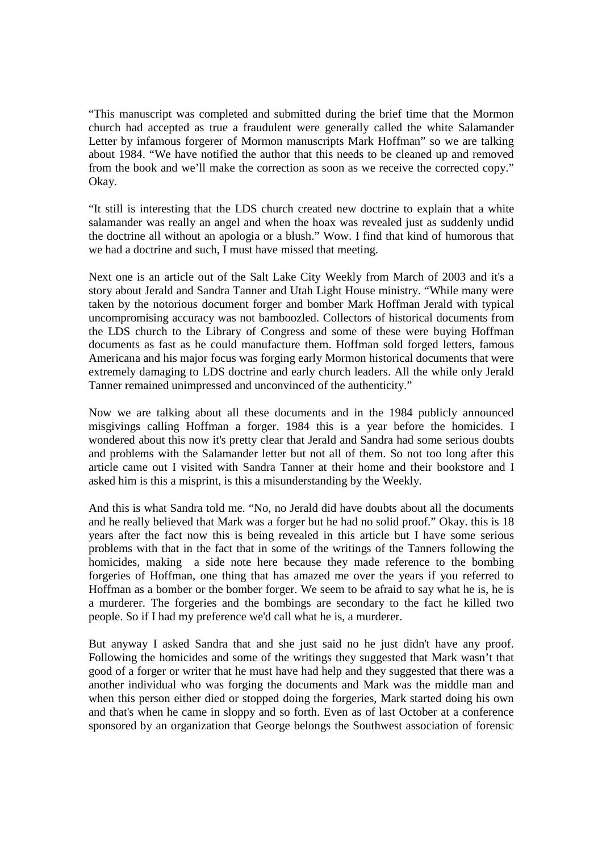"This manuscript was completed and submitted during the brief time that the Mormon church had accepted as true a fraudulent were generally called the white Salamander Letter by infamous forgerer of Mormon manuscripts Mark Hoffman" so we are talking about 1984. "We have notified the author that this needs to be cleaned up and removed from the book and we'll make the correction as soon as we receive the corrected copy." Okay.

"It still is interesting that the LDS church created new doctrine to explain that a white salamander was really an angel and when the hoax was revealed just as suddenly undid the doctrine all without an apologia or a blush." Wow. I find that kind of humorous that we had a doctrine and such, I must have missed that meeting.

Next one is an article out of the Salt Lake City Weekly from March of 2003 and it's a story about Jerald and Sandra Tanner and Utah Light House ministry. "While many were taken by the notorious document forger and bomber Mark Hoffman Jerald with typical uncompromising accuracy was not bamboozled. Collectors of historical documents from the LDS church to the Library of Congress and some of these were buying Hoffman documents as fast as he could manufacture them. Hoffman sold forged letters, famous Americana and his major focus was forging early Mormon historical documents that were extremely damaging to LDS doctrine and early church leaders. All the while only Jerald Tanner remained unimpressed and unconvinced of the authenticity."

Now we are talking about all these documents and in the 1984 publicly announced misgivings calling Hoffman a forger. 1984 this is a year before the homicides. I wondered about this now it's pretty clear that Jerald and Sandra had some serious doubts and problems with the Salamander letter but not all of them. So not too long after this article came out I visited with Sandra Tanner at their home and their bookstore and I asked him is this a misprint, is this a misunderstanding by the Weekly.

And this is what Sandra told me. "No, no Jerald did have doubts about all the documents and he really believed that Mark was a forger but he had no solid proof." Okay. this is 18 years after the fact now this is being revealed in this article but I have some serious problems with that in the fact that in some of the writings of the Tanners following the homicides, making a side note here because they made reference to the bombing forgeries of Hoffman, one thing that has amazed me over the years if you referred to Hoffman as a bomber or the bomber forger. We seem to be afraid to say what he is, he is a murderer. The forgeries and the bombings are secondary to the fact he killed two people. So if I had my preference we'd call what he is, a murderer.

But anyway I asked Sandra that and she just said no he just didn't have any proof. Following the homicides and some of the writings they suggested that Mark wasn't that good of a forger or writer that he must have had help and they suggested that there was a another individual who was forging the documents and Mark was the middle man and when this person either died or stopped doing the forgeries, Mark started doing his own and that's when he came in sloppy and so forth. Even as of last October at a conference sponsored by an organization that George belongs the Southwest association of forensic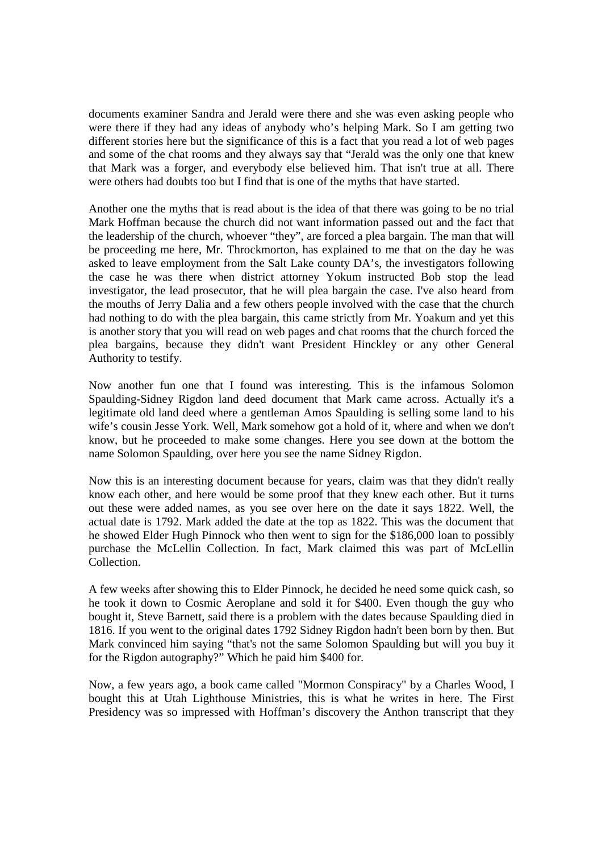documents examiner Sandra and Jerald were there and she was even asking people who were there if they had any ideas of anybody who's helping Mark. So I am getting two different stories here but the significance of this is a fact that you read a lot of web pages and some of the chat rooms and they always say that "Jerald was the only one that knew that Mark was a forger, and everybody else believed him. That isn't true at all. There were others had doubts too but I find that is one of the myths that have started.

Another one the myths that is read about is the idea of that there was going to be no trial Mark Hoffman because the church did not want information passed out and the fact that the leadership of the church, whoever "they", are forced a plea bargain. The man that will be proceeding me here, Mr. Throckmorton, has explained to me that on the day he was asked to leave employment from the Salt Lake county DA's, the investigators following the case he was there when district attorney Yokum instructed Bob stop the lead investigator, the lead prosecutor, that he will plea bargain the case. I've also heard from the mouths of Jerry Dalia and a few others people involved with the case that the church had nothing to do with the plea bargain, this came strictly from Mr. Yoakum and yet this is another story that you will read on web pages and chat rooms that the church forced the plea bargains, because they didn't want President Hinckley or any other General Authority to testify.

Now another fun one that I found was interesting. This is the infamous Solomon Spaulding-Sidney Rigdon land deed document that Mark came across. Actually it's a legitimate old land deed where a gentleman Amos Spaulding is selling some land to his wife's cousin Jesse York. Well, Mark somehow got a hold of it, where and when we don't know, but he proceeded to make some changes. Here you see down at the bottom the name Solomon Spaulding, over here you see the name Sidney Rigdon.

Now this is an interesting document because for years, claim was that they didn't really know each other, and here would be some proof that they knew each other. But it turns out these were added names, as you see over here on the date it says 1822. Well, the actual date is 1792. Mark added the date at the top as 1822. This was the document that he showed Elder Hugh Pinnock who then went to sign for the \$186,000 loan to possibly purchase the McLellin Collection. In fact, Mark claimed this was part of McLellin Collection.

A few weeks after showing this to Elder Pinnock, he decided he need some quick cash, so he took it down to Cosmic Aeroplane and sold it for \$400. Even though the guy who bought it, Steve Barnett, said there is a problem with the dates because Spaulding died in 1816. If you went to the original dates 1792 Sidney Rigdon hadn't been born by then. But Mark convinced him saying "that's not the same Solomon Spaulding but will you buy it for the Rigdon autography?" Which he paid him \$400 for.

Now, a few years ago, a book came called "Mormon Conspiracy" by a Charles Wood, I bought this at Utah Lighthouse Ministries, this is what he writes in here. The First Presidency was so impressed with Hoffman's discovery the Anthon transcript that they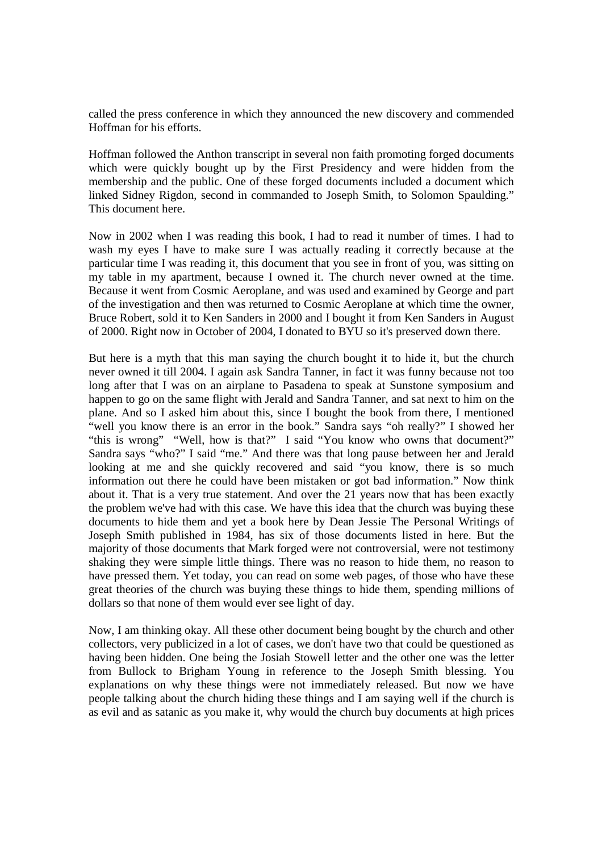called the press conference in which they announced the new discovery and commended Hoffman for his efforts.

Hoffman followed the Anthon transcript in several non faith promoting forged documents which were quickly bought up by the First Presidency and were hidden from the membership and the public. One of these forged documents included a document which linked Sidney Rigdon, second in commanded to Joseph Smith, to Solomon Spaulding." This document here.

Now in 2002 when I was reading this book, I had to read it number of times. I had to wash my eyes I have to make sure I was actually reading it correctly because at the particular time I was reading it, this document that you see in front of you, was sitting on my table in my apartment, because I owned it. The church never owned at the time. Because it went from Cosmic Aeroplane, and was used and examined by George and part of the investigation and then was returned to Cosmic Aeroplane at which time the owner, Bruce Robert, sold it to Ken Sanders in 2000 and I bought it from Ken Sanders in August of 2000. Right now in October of 2004, I donated to BYU so it's preserved down there.

But here is a myth that this man saying the church bought it to hide it, but the church never owned it till 2004. I again ask Sandra Tanner, in fact it was funny because not too long after that I was on an airplane to Pasadena to speak at Sunstone symposium and happen to go on the same flight with Jerald and Sandra Tanner, and sat next to him on the plane. And so I asked him about this, since I bought the book from there, I mentioned "well you know there is an error in the book." Sandra says "oh really?" I showed her "this is wrong" "Well, how is that?" I said "You know who owns that document?" Sandra says "who?" I said "me." And there was that long pause between her and Jerald looking at me and she quickly recovered and said "you know, there is so much information out there he could have been mistaken or got bad information." Now think about it. That is a very true statement. And over the 21 years now that has been exactly the problem we've had with this case. We have this idea that the church was buying these documents to hide them and yet a book here by Dean Jessie The Personal Writings of Joseph Smith published in 1984, has six of those documents listed in here. But the majority of those documents that Mark forged were not controversial, were not testimony shaking they were simple little things. There was no reason to hide them, no reason to have pressed them. Yet today, you can read on some web pages, of those who have these great theories of the church was buying these things to hide them, spending millions of dollars so that none of them would ever see light of day.

Now, I am thinking okay. All these other document being bought by the church and other collectors, very publicized in a lot of cases, we don't have two that could be questioned as having been hidden. One being the Josiah Stowell letter and the other one was the letter from Bullock to Brigham Young in reference to the Joseph Smith blessing. You explanations on why these things were not immediately released. But now we have people talking about the church hiding these things and I am saying well if the church is as evil and as satanic as you make it, why would the church buy documents at high prices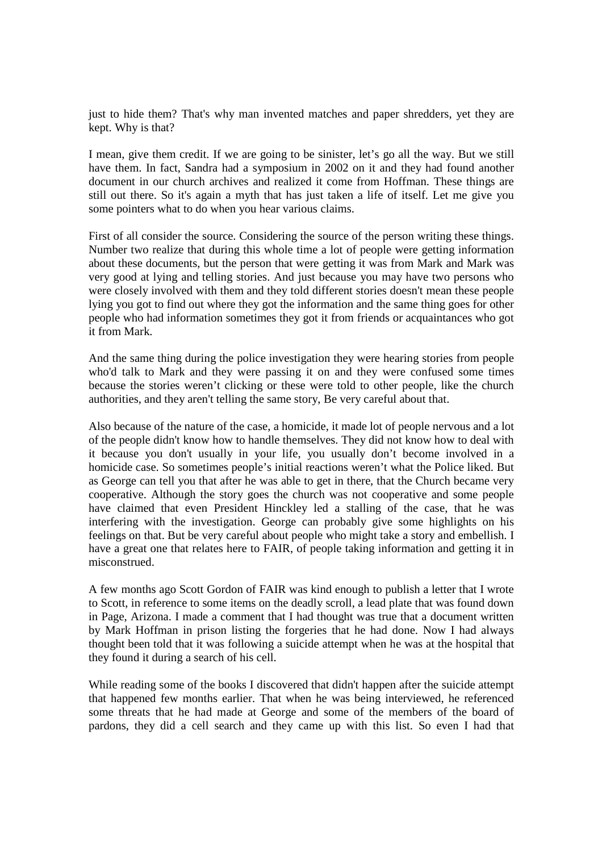just to hide them? That's why man invented matches and paper shredders, yet they are kept. Why is that?

I mean, give them credit. If we are going to be sinister, let's go all the way. But we still have them. In fact, Sandra had a symposium in 2002 on it and they had found another document in our church archives and realized it come from Hoffman. These things are still out there. So it's again a myth that has just taken a life of itself. Let me give you some pointers what to do when you hear various claims.

First of all consider the source. Considering the source of the person writing these things. Number two realize that during this whole time a lot of people were getting information about these documents, but the person that were getting it was from Mark and Mark was very good at lying and telling stories. And just because you may have two persons who were closely involved with them and they told different stories doesn't mean these people lying you got to find out where they got the information and the same thing goes for other people who had information sometimes they got it from friends or acquaintances who got it from Mark.

And the same thing during the police investigation they were hearing stories from people who'd talk to Mark and they were passing it on and they were confused some times because the stories weren't clicking or these were told to other people, like the church authorities, and they aren't telling the same story, Be very careful about that.

Also because of the nature of the case, a homicide, it made lot of people nervous and a lot of the people didn't know how to handle themselves. They did not know how to deal with it because you don't usually in your life, you usually don't become involved in a homicide case. So sometimes people's initial reactions weren't what the Police liked. But as George can tell you that after he was able to get in there, that the Church became very cooperative. Although the story goes the church was not cooperative and some people have claimed that even President Hinckley led a stalling of the case, that he was interfering with the investigation. George can probably give some highlights on his feelings on that. But be very careful about people who might take a story and embellish. I have a great one that relates here to FAIR, of people taking information and getting it in misconstrued.

A few months ago Scott Gordon of FAIR was kind enough to publish a letter that I wrote to Scott, in reference to some items on the deadly scroll, a lead plate that was found down in Page, Arizona. I made a comment that I had thought was true that a document written by Mark Hoffman in prison listing the forgeries that he had done. Now I had always thought been told that it was following a suicide attempt when he was at the hospital that they found it during a search of his cell.

While reading some of the books I discovered that didn't happen after the suicide attempt that happened few months earlier. That when he was being interviewed, he referenced some threats that he had made at George and some of the members of the board of pardons, they did a cell search and they came up with this list. So even I had that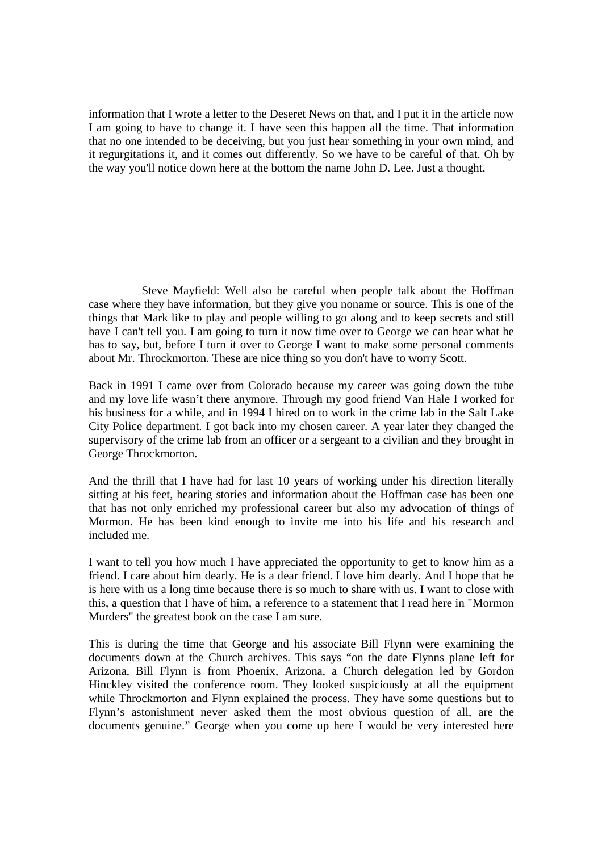information that I wrote a letter to the Deseret News on that, and I put it in the article now I am going to have to change it. I have seen this happen all the time. That information that no one intended to be deceiving, but you just hear something in your own mind, and it regurgitations it, and it comes out differently. So we have to be careful of that. Oh by the way you'll notice down here at the bottom the name John D. Lee. Just a thought.

 Steve Mayfield: Well also be careful when people talk about the Hoffman case where they have information, but they give you noname or source. This is one of the things that Mark like to play and people willing to go along and to keep secrets and still have I can't tell you. I am going to turn it now time over to George we can hear what he has to say, but, before I turn it over to George I want to make some personal comments about Mr. Throckmorton. These are nice thing so you don't have to worry Scott.

Back in 1991 I came over from Colorado because my career was going down the tube and my love life wasn't there anymore. Through my good friend Van Hale I worked for his business for a while, and in 1994 I hired on to work in the crime lab in the Salt Lake City Police department. I got back into my chosen career. A year later they changed the supervisory of the crime lab from an officer or a sergeant to a civilian and they brought in George Throckmorton.

And the thrill that I have had for last 10 years of working under his direction literally sitting at his feet, hearing stories and information about the Hoffman case has been one that has not only enriched my professional career but also my advocation of things of Mormon. He has been kind enough to invite me into his life and his research and included me.

I want to tell you how much I have appreciated the opportunity to get to know him as a friend. I care about him dearly. He is a dear friend. I love him dearly. And I hope that he is here with us a long time because there is so much to share with us. I want to close with this, a question that I have of him, a reference to a statement that I read here in "Mormon Murders" the greatest book on the case I am sure.

This is during the time that George and his associate Bill Flynn were examining the documents down at the Church archives. This says "on the date Flynns plane left for Arizona, Bill Flynn is from Phoenix, Arizona, a Church delegation led by Gordon Hinckley visited the conference room. They looked suspiciously at all the equipment while Throckmorton and Flynn explained the process. They have some questions but to Flynn's astonishment never asked them the most obvious question of all, are the documents genuine." George when you come up here I would be very interested here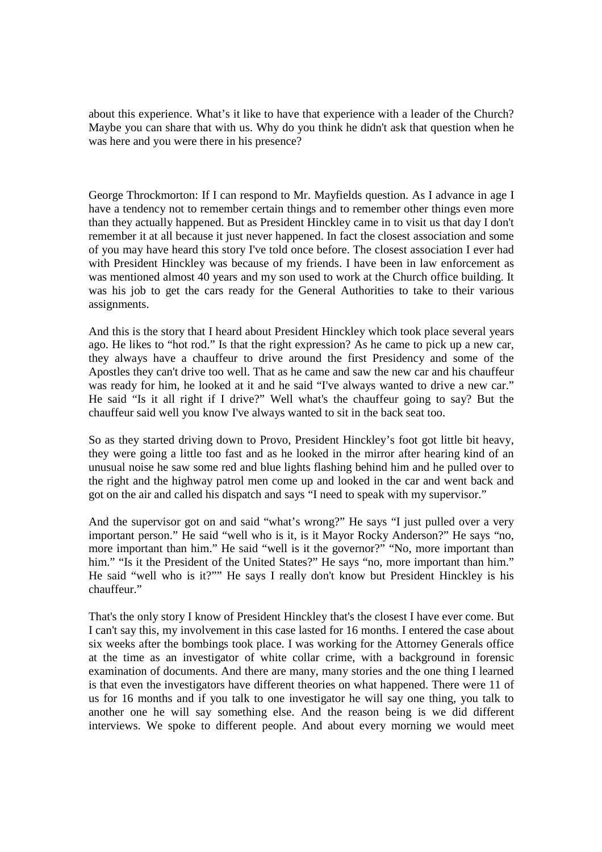about this experience. What's it like to have that experience with a leader of the Church? Maybe you can share that with us. Why do you think he didn't ask that question when he was here and you were there in his presence?

George Throckmorton: If I can respond to Mr. Mayfields question. As I advance in age I have a tendency not to remember certain things and to remember other things even more than they actually happened. But as President Hinckley came in to visit us that day I don't remember it at all because it just never happened. In fact the closest association and some of you may have heard this story I've told once before. The closest association I ever had with President Hinckley was because of my friends. I have been in law enforcement as was mentioned almost 40 years and my son used to work at the Church office building. It was his job to get the cars ready for the General Authorities to take to their various assignments.

And this is the story that I heard about President Hinckley which took place several years ago. He likes to "hot rod." Is that the right expression? As he came to pick up a new car, they always have a chauffeur to drive around the first Presidency and some of the Apostles they can't drive too well. That as he came and saw the new car and his chauffeur was ready for him, he looked at it and he said "I've always wanted to drive a new car." He said "Is it all right if I drive?" Well what's the chauffeur going to say? But the chauffeur said well you know I've always wanted to sit in the back seat too.

So as they started driving down to Provo, President Hinckley's foot got little bit heavy, they were going a little too fast and as he looked in the mirror after hearing kind of an unusual noise he saw some red and blue lights flashing behind him and he pulled over to the right and the highway patrol men come up and looked in the car and went back and got on the air and called his dispatch and says "I need to speak with my supervisor."

And the supervisor got on and said "what's wrong?" He says "I just pulled over a very important person." He said "well who is it, is it Mayor Rocky Anderson?" He says "no, more important than him." He said "well is it the governor?" "No, more important than him." "Is it the President of the United States?" He says "no, more important than him." He said "well who is it?"" He says I really don't know but President Hinckley is his chauffeur."

That's the only story I know of President Hinckley that's the closest I have ever come. But I can't say this, my involvement in this case lasted for 16 months. I entered the case about six weeks after the bombings took place. I was working for the Attorney Generals office at the time as an investigator of white collar crime, with a background in forensic examination of documents. And there are many, many stories and the one thing I learned is that even the investigators have different theories on what happened. There were 11 of us for 16 months and if you talk to one investigator he will say one thing, you talk to another one he will say something else. And the reason being is we did different interviews. We spoke to different people. And about every morning we would meet